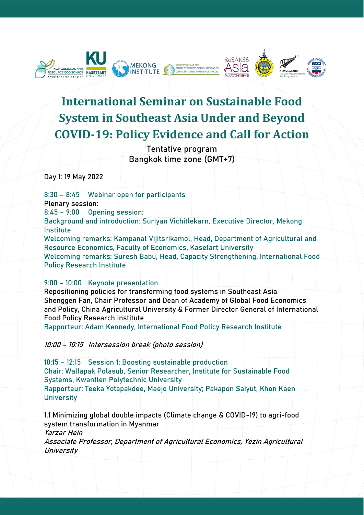

## **International Seminar on Sustainable Food System in Southeast Asia Under and Beyond COVID-19: Policy Evidence and Call for Action**

Tentative program Bangkok time zone (GMT+7)

Day 1: 19 May 2022

8:30 – 8:45 Webinar open for participants Plenary session: 8:45 – 9:00 Opening session: Background and introduction: Suriyan Vichitlekarn, Executive Director, Mekong Institute Welcoming remarks: Kampanat Vijitsrikamol, Head, Department of Agricultural and Resource Economics, Faculty of Economics, Kasetart University Welcoming remarks: Suresh Babu, Head, Capacity Strengthening, International Food Policy Research Institute

## 9:00 – 10:00 Keynote presentation

Repositioning policies for transforming food systems in Southeast Asia Shenggen Fan, Chair Professor and Dean of Academy of Global Food Economics and Policy, China Agricultural University & Former Director General of International Food Policy Research Institute

Rapporteur: Adam Kennedy, International Food Policy Research Institute

10:00 – 10:15 Intersession break (photo session)

10:15 – 12:15 Session 1: Boosting sustainable production Chair: Wallapak Polasub, Senior Researcher, Institute for Sustainable Food Systems, Kwantlen Polytechnic University Rapporteur: Teeka Yotapakdee, Maejo University; Pakapon Saiyut, Khon Kaen **University** 

1.1 Minimizing global double impacts (Climate change & COVID-19) to agri-food system transformation in Myanmar Yarzar Hein

Associate Professor, Department of Agricultural Economics, Yezin Agricultural University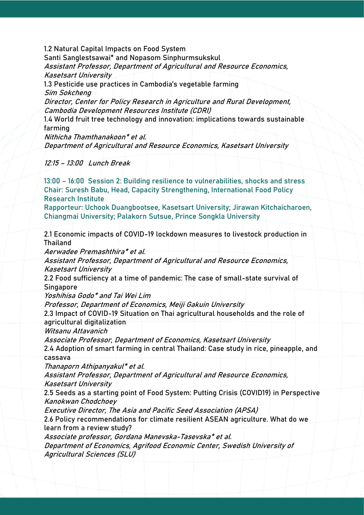1.2 Natural Capital Impacts on Food System

Santi Sanglestsawai\* and Nopasom Sinphurmsukskul

Assistant Professor, Department of Agricultural and Resource Economics, Kasetsart University

1.3 Pesticide use practices in Cambodia's vegetable farming Sim Sokcheng

Director, Center for Policy Research in Agriculture and Rural Development, Cambodia Development Resources Institute (CDRI)

1.4 World fruit tree technology and innovation: implications towards sustainable farming

Nithicha Thamthanakoon\* et al.

Department of Agricultural and Resource Economics, Kasetsart University

12:15 – 13:00 Lunch Break

13:00 – 16:00 Session 2: Building resilience to vulnerabilities, shocks and stress Chair: Suresh Babu, Head, Capacity Strengthening, International Food Policy Research Institute

Rapporteur: Uchook Duangbootsee, Kasetsart University; Jirawan Kitchaicharoen, Chiangmai University; Palakorn Sutsue, Prince Songkla University

2.1 Economic impacts of COVID-19 lockdown measures to livestock production in Thailand

Aerwadee Premashthira\* et al.

Assistant Professor, Department of Agricultural and Resource Economics, Kasetsart University

2.2 Food sufficiency at a time of pandemic: The case of small-state survival of **Singapore** 

Yoshihisa Godo\* and Tai Wei Lim

Professor, Department of Economics, Meiji Gakuin University

2.3 Impact of COVID-19 Situation on Thai agricultural households and the role of agricultural digitalization

Witsanu Attavanich

Associate Professor, Department of Economics, Kasetsart University

2.4 Adoption of smart farming in central Thailand: Case study in rice, pineapple, and cassava

Thanaporn Athipanyakul\* et al.

Assistant Professor, Department of Agricultural and Resource Economics, Kasetsart University

2.5 Seeds as a starting point of Food System: Putting Crisis (COVID19) in Perspective Kanokwan Chodchoey

Executive Director, The Asia and Pacific Seed Association (APSA)

2.6 Policy recommendations for climate resilient ASEAN agriculture. What do we learn from a review study?

Associate professor, Gordana Manevska-Tasevska\* et al.

Department of Economics, Agrifood Economic Center, Swedish University of Agricultural Sciences (SLU)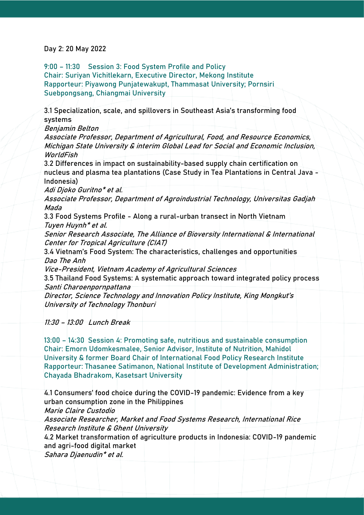## Day 2: 20 May 2022

9:00 – 11:30 Session 3: Food System Profile and Policy Chair: Suriyan Vichitlekarn, Executive Director, Mekong Institute Rapporteur: Piyawong Punjatewakupt, Thammasat University; Pornsiri Suebpongsang, Chiangmai University

3.1 Specialization, scale, and spillovers in Southeast Asia's transforming food systems

Benjamin Belton

Associate Professor, Department of Agricultural, Food, and Resource Economics, Michigan State University & interim Global Lead for Social and Economic Inclusion, WorldFish

3.2 Differences in impact on sustainability-based supply chain certification on nucleus and plasma tea plantations (Case Study in Tea Plantations in Central Java - Indonesia)

Adi Djoko Guritno\* et al.

Associate Professor, Department of Agroindustrial Technology, Universitas Gadjah Mada

3.3 Food Systems Profile - Along a rural-urban transect in North Vietnam Tuyen Huynh\* et al.

Senior Research Associate, The Alliance of Bioversity International & International Center for Tropical Agriculture (CIAT)

3.4 Vietnam's Food System: The characteristics, challenges and opportunities Dao The Anh

Vice-President, Vietnam Academy of Agricultural Sciences

3.5 Thailand Food Systems: A systematic approach toward integrated policy process Santi Charoenpornpattana

Director, Science Technology and Innovation Policy Institute, King Mongkut's University of Technology Thonburi

11:30 – 13:00 Lunch Break

13:00 – 14:30 Session 4: Promoting safe, nutritious and sustainable consumption Chair: Emorn Udomkesmalee, Senior Advisor, Institute of Nutrition, Mahidol University & former Board Chair of International Food Policy Research Institute Rapporteur: Thasanee Satimanon, National Institute of Development Administration; Chayada Bhadrakom, Kasetsart University

4.1 Consumers' food choice during the COVID-19 pandemic: Evidence from a key urban consumption zone in the Philippines

Marie Claire Custodio

Associate Researcher, Market and Food Systems Research, International Rice Research Institute & Ghent University

4.2 Market transformation of agriculture products in Indonesia: COVID-19 pandemic and agri-food digital market

Sahara Djaenudin\* et al.